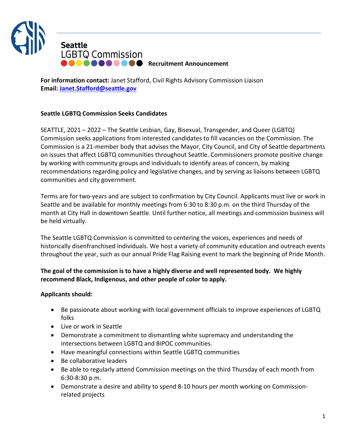

**Recruitment Announcement** 

**For information contact:** Janet Stafford, Civil Rights Advisory Commission Liaison **Email: [Janet.Stafford@seattle.gov](mailto:molly.brewer@seattle.gov)**

## **Seattle LGBTQ Commission Seeks Candidates**

SEATTLE, 2021 – 2022 – The Seattle Lesbian, Gay, Bisexual, Transgender, and Queer (LGBTQ) Commission seeks applications from interested candidates to fill vacancies on the Commission. The Commission is a 21-member body that advises the Mayor, City Council, and City of Seattle departments on issues that affect LGBTQ communities throughout Seattle. Commissioners promote positive change by working with community groups and individuals to identify areas of concern, by making recommendations regarding policy and legislative changes, and by serving as liaisons between LGBTQ communities and city government.

Terms are for two-years and are subject to confirmation by City Council. Applicants must live or work in Seattle and be available for monthly meetings from 6:30 to 8:30 p.m. on the third Thursday of the month at City Hall in downtown Seattle. Until further notice, all meetings and commission business will be held virtually.

The Seattle LGBTQ Commission is committed to centering the voices, experiences and needs of historically disenfranchised individuals. We host a variety of community education and outreach events throughout the year, such as our annual Pride Flag Raising event to mark the beginning of Pride Month.

## **The goal of the commission is to have a highly diverse and well represented body. We highly recommend Black, Indigenous, and other people of color to apply.**

## **Applicants should:**

- Be passionate about working with local government officials to improve experiences of LGBTQ folks
- Live or work in Seattle
- Demonstrate a commitment to dismantling white supremacy and understanding the intersections between LGBTQ and BIPOC communities.
- Have meaningful connections within Seattle LGBTQ communities
- Be collaborative leaders
- Be able to regularly attend Commission meetings on the third Thursday of each month from 6:30-8:30 p.m.
- Demonstrate a desire and ability to spend 8-10 hours per month working on Commissionrelated projects